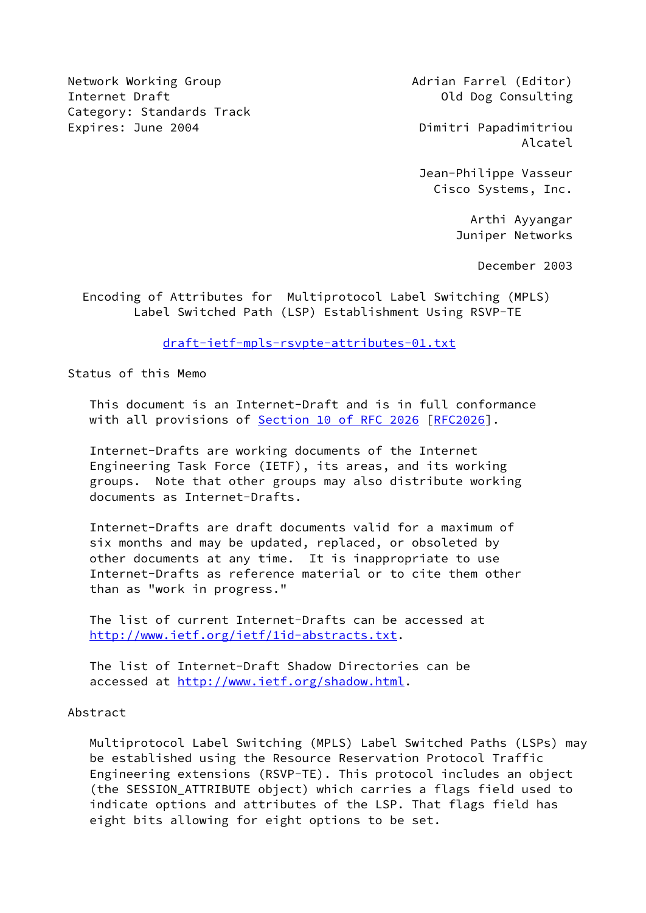Network Working Group **Adrian Farrel (Editor)** Adrian Farrel (Editor) Internet Draft **Old Dog Consulting** Category: Standards Track Expires: June 2004 **Dimitri Papadimitriou** 

Alcatel

 Jean-Philippe Vasseur Cisco Systems, Inc.

> Arthi Ayyangar Juniper Networks

> > December 2003

 Encoding of Attributes for Multiprotocol Label Switching (MPLS) Label Switched Path (LSP) Establishment Using RSVP-TE

[draft-ietf-mpls-rsvpte-attributes-01.txt](https://datatracker.ietf.org/doc/pdf/draft-ietf-mpls-rsvpte-attributes-01.txt)

Status of this Memo

 This document is an Internet-Draft and is in full conformance with all provisions of Section [10 of RFC 2026](https://datatracker.ietf.org/doc/pdf/rfc2026#section-10) [[RFC2026](https://datatracker.ietf.org/doc/pdf/rfc2026)].

 Internet-Drafts are working documents of the Internet Engineering Task Force (IETF), its areas, and its working groups. Note that other groups may also distribute working documents as Internet-Drafts.

 Internet-Drafts are draft documents valid for a maximum of six months and may be updated, replaced, or obsoleted by other documents at any time. It is inappropriate to use Internet-Drafts as reference material or to cite them other than as "work in progress."

 The list of current Internet-Drafts can be accessed at <http://www.ietf.org/ietf/1id-abstracts.txt>.

 The list of Internet-Draft Shadow Directories can be accessed at [http://www.ietf.org/shadow.html.](http://www.ietf.org/shadow.html)

### Abstract

 Multiprotocol Label Switching (MPLS) Label Switched Paths (LSPs) may be established using the Resource Reservation Protocol Traffic Engineering extensions (RSVP-TE). This protocol includes an object (the SESSION\_ATTRIBUTE object) which carries a flags field used to indicate options and attributes of the LSP. That flags field has eight bits allowing for eight options to be set.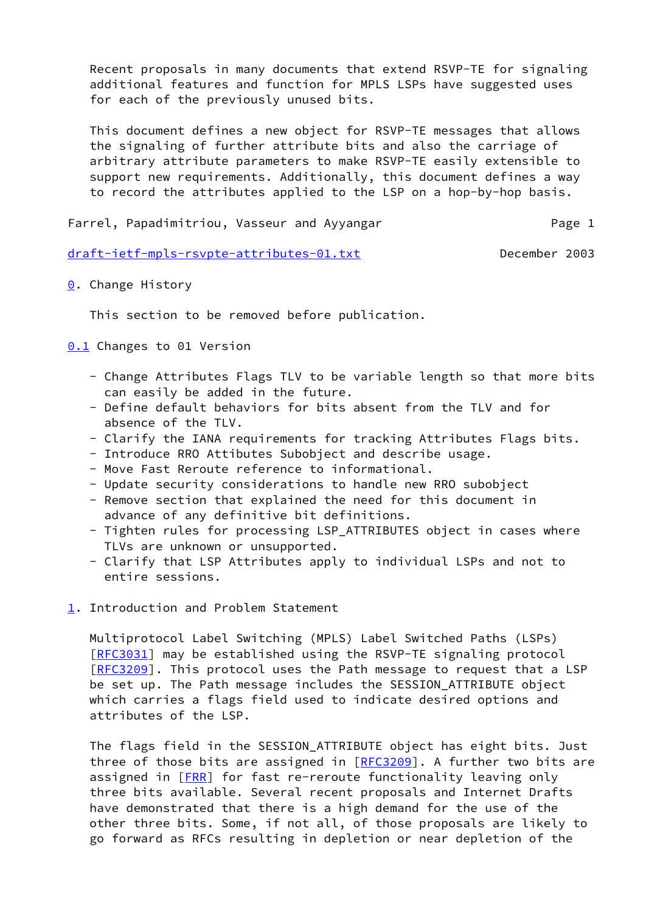Recent proposals in many documents that extend RSVP-TE for signaling additional features and function for MPLS LSPs have suggested uses for each of the previously unused bits.

 This document defines a new object for RSVP-TE messages that allows the signaling of further attribute bits and also the carriage of arbitrary attribute parameters to make RSVP-TE easily extensible to support new requirements. Additionally, this document defines a way to record the attributes applied to the LSP on a hop-by-hop basis.

Farrel, Papadimitriou, Vasseur and Ayyangar Theorem 2016 Page 1

[draft-ietf-mpls-rsvpte-attributes-01.txt](https://datatracker.ietf.org/doc/pdf/draft-ietf-mpls-rsvpte-attributes-01.txt) December 2003

<span id="page-1-0"></span>**[0](#page-1-0).** Change History

This section to be removed before publication.

<span id="page-1-1"></span>[0.1](#page-1-1) Changes to 01 Version

- Change Attributes Flags TLV to be variable length so that more bits can easily be added in the future.
- Define default behaviors for bits absent from the TLV and for absence of the TLV.
- Clarify the IANA requirements for tracking Attributes Flags bits.
- Introduce RRO Attibutes Subobject and describe usage.
- Move Fast Reroute reference to informational.
- Update security considerations to handle new RRO subobject
- Remove section that explained the need for this document in advance of any definitive bit definitions.
- Tighten rules for processing LSP\_ATTRIBUTES object in cases where TLVs are unknown or unsupported.
- Clarify that LSP Attributes apply to individual LSPs and not to entire sessions.
- <span id="page-1-2"></span>[1](#page-1-2). Introduction and Problem Statement

 Multiprotocol Label Switching (MPLS) Label Switched Paths (LSPs) [\[RFC3031](https://datatracker.ietf.org/doc/pdf/rfc3031)] may be established using the RSVP-TE signaling protocol [\[RFC3209](https://datatracker.ietf.org/doc/pdf/rfc3209)]. This protocol uses the Path message to request that a LSP be set up. The Path message includes the SESSION\_ATTRIBUTE object which carries a flags field used to indicate desired options and attributes of the LSP.

 The flags field in the SESSION\_ATTRIBUTE object has eight bits. Just three of those bits are assigned in  $[REC3209]$ . A further two bits are assigned in [\[FRR](#page-15-0)] for fast re-reroute functionality leaving only three bits available. Several recent proposals and Internet Drafts have demonstrated that there is a high demand for the use of the other three bits. Some, if not all, of those proposals are likely to go forward as RFCs resulting in depletion or near depletion of the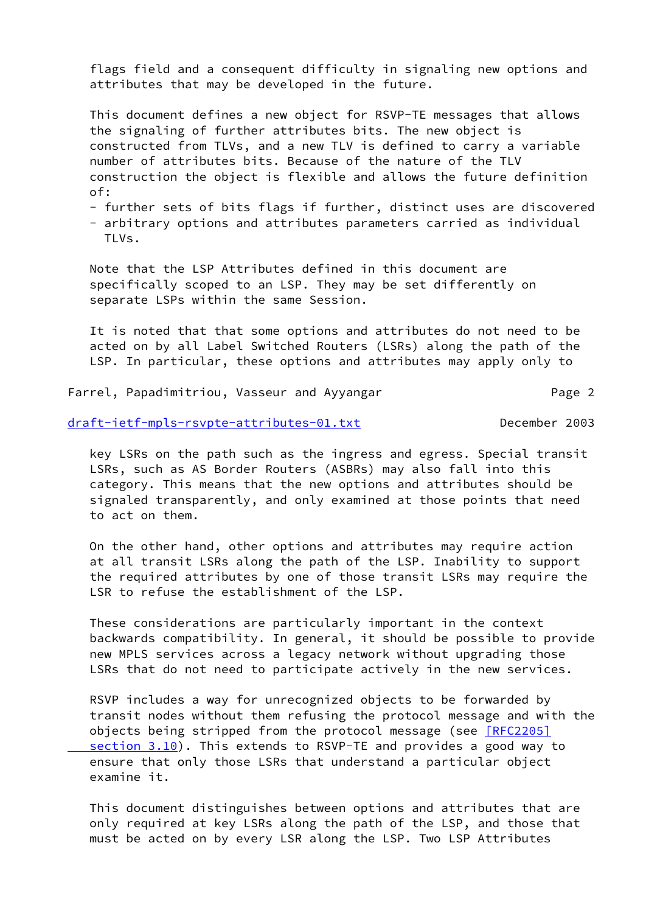flags field and a consequent difficulty in signaling new options and attributes that may be developed in the future.

 This document defines a new object for RSVP-TE messages that allows the signaling of further attributes bits. The new object is constructed from TLVs, and a new TLV is defined to carry a variable number of attributes bits. Because of the nature of the TLV construction the object is flexible and allows the future definition of:

- further sets of bits flags if further, distinct uses are discovered
- arbitrary options and attributes parameters carried as individual TI<sub>Vs.</sub>

 Note that the LSP Attributes defined in this document are specifically scoped to an LSP. They may be set differently on separate LSPs within the same Session.

 It is noted that that some options and attributes do not need to be acted on by all Label Switched Routers (LSRs) along the path of the LSP. In particular, these options and attributes may apply only to

Farrel, Papadimitriou, Vasseur and Ayyangar Theorem 2

[draft-ietf-mpls-rsvpte-attributes-01.txt](https://datatracker.ietf.org/doc/pdf/draft-ietf-mpls-rsvpte-attributes-01.txt) December 2003

 key LSRs on the path such as the ingress and egress. Special transit LSRs, such as AS Border Routers (ASBRs) may also fall into this category. This means that the new options and attributes should be signaled transparently, and only examined at those points that need to act on them.

 On the other hand, other options and attributes may require action at all transit LSRs along the path of the LSP. Inability to support the required attributes by one of those transit LSRs may require the LSR to refuse the establishment of the LSP.

 These considerations are particularly important in the context backwards compatibility. In general, it should be possible to provide new MPLS services across a legacy network without upgrading those LSRs that do not need to participate actively in the new services.

 RSVP includes a way for unrecognized objects to be forwarded by transit nodes without them refusing the protocol message and with the objects being stripped from the protocol message (see [\[RFC2205\]](https://datatracker.ietf.org/doc/pdf/rfc2205#section-3.10)  [section](https://datatracker.ietf.org/doc/pdf/rfc2205#section-3.10) 3.10). This extends to RSVP-TE and provides a good way to ensure that only those LSRs that understand a particular object examine it.

 This document distinguishes between options and attributes that are only required at key LSRs along the path of the LSP, and those that must be acted on by every LSR along the LSP. Two LSP Attributes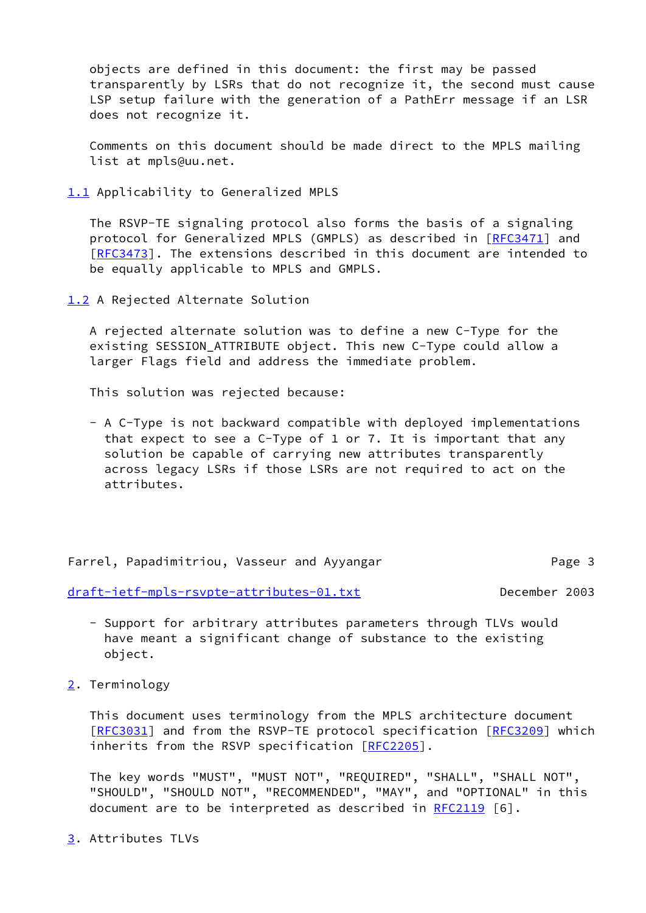objects are defined in this document: the first may be passed transparently by LSRs that do not recognize it, the second must cause LSP setup failure with the generation of a PathErr message if an LSR does not recognize it.

 Comments on this document should be made direct to the MPLS mailing list at mpls@uu.net.

<span id="page-3-0"></span>[1.1](#page-3-0) Applicability to Generalized MPLS

 The RSVP-TE signaling protocol also forms the basis of a signaling protocol for Generalized MPLS (GMPLS) as described in [[RFC3471](https://datatracker.ietf.org/doc/pdf/rfc3471)] and [\[RFC3473](https://datatracker.ietf.org/doc/pdf/rfc3473)]. The extensions described in this document are intended to be equally applicable to MPLS and GMPLS.

<span id="page-3-1"></span>[1.2](#page-3-1) A Rejected Alternate Solution

 A rejected alternate solution was to define a new C-Type for the existing SESSION\_ATTRIBUTE object. This new C-Type could allow a larger Flags field and address the immediate problem.

This solution was rejected because:

 - A C-Type is not backward compatible with deployed implementations that expect to see a C-Type of 1 or 7. It is important that any solution be capable of carrying new attributes transparently across legacy LSRs if those LSRs are not required to act on the attributes.

Farrel, Papadimitriou, Vasseur and Ayyangar Page 3

[draft-ietf-mpls-rsvpte-attributes-01.txt](https://datatracker.ietf.org/doc/pdf/draft-ietf-mpls-rsvpte-attributes-01.txt) December 2003

- Support for arbitrary attributes parameters through TLVs would have meant a significant change of substance to the existing object.
- <span id="page-3-2"></span>[2](#page-3-2). Terminology

 This document uses terminology from the MPLS architecture document [\[RFC3031](https://datatracker.ietf.org/doc/pdf/rfc3031)] and from the RSVP-TE protocol specification [[RFC3209](https://datatracker.ietf.org/doc/pdf/rfc3209)] which inherits from the RSVP specification [\[RFC2205](https://datatracker.ietf.org/doc/pdf/rfc2205)].

 The key words "MUST", "MUST NOT", "REQUIRED", "SHALL", "SHALL NOT", "SHOULD", "SHOULD NOT", "RECOMMENDED", "MAY", and "OPTIONAL" in this document are to be interpreted as described in [RFC2119](https://datatracker.ietf.org/doc/pdf/rfc2119) [6].

<span id="page-3-3"></span>[3](#page-3-3). Attributes TLVs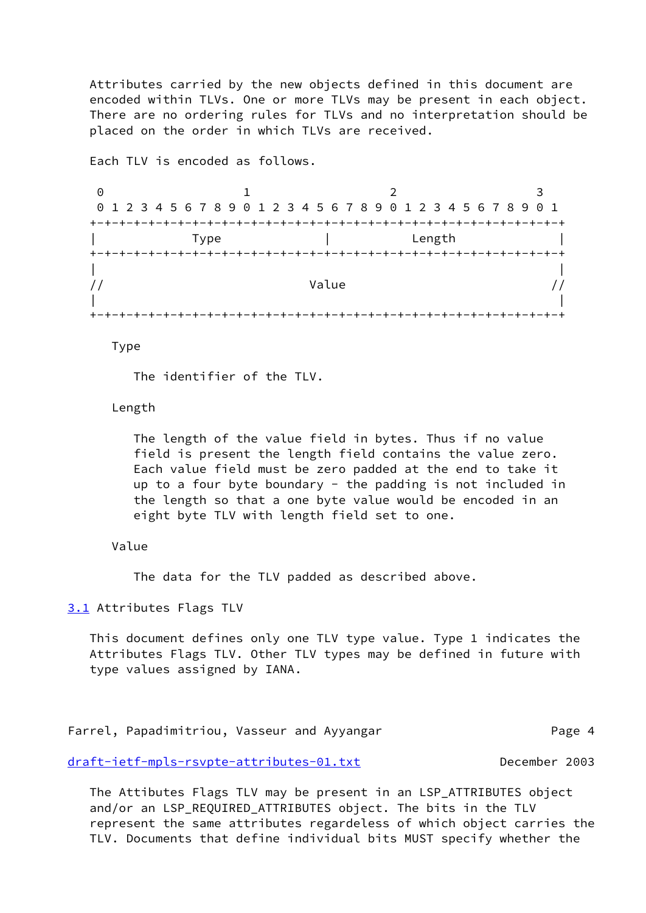Attributes carried by the new objects defined in this document are encoded within TLVs. One or more TLVs may be present in each object. There are no ordering rules for TLVs and no interpretation should be placed on the order in which TLVs are received.

Each TLV is encoded as follows.

0 1 2 3 0 1 2 3 4 5 6 7 8 9 0 1 2 3 4 5 6 7 8 9 0 1 2 3 4 5 6 7 8 9 0 1 +-+-+-+-+-+-+-+-+-+-+-+-+-+-+-+-+-+-+-+-+-+-+-+-+-+-+-+-+-+-+-+-+ | Type | Length | +-+-+-+-+-+-+-+-+-+-+-+-+-+-+-+-+-+-+-+-+-+-+-+-+-+-+-+-+-+-+-+-+ | | // Value // / | | +-+-+-+-+-+-+-+-+-+-+-+-+-+-+-+-+-+-+-+-+-+-+-+-+-+-+-+-+-+-+-+-+

Type

The identifier of the TLV.

Length

 The length of the value field in bytes. Thus if no value field is present the length field contains the value zero. Each value field must be zero padded at the end to take it up to a four byte boundary - the padding is not included in the length so that a one byte value would be encoded in an eight byte TLV with length field set to one.

# Value

The data for the TLV padded as described above.

<span id="page-4-0"></span>[3.1](#page-4-0) Attributes Flags TLV

 This document defines only one TLV type value. Type 1 indicates the Attributes Flags TLV. Other TLV types may be defined in future with type values assigned by IANA.

Farrel, Papadimitriou, Vasseur and Ayyangar Theorem 2016 Page 4

[draft-ietf-mpls-rsvpte-attributes-01.txt](https://datatracker.ietf.org/doc/pdf/draft-ietf-mpls-rsvpte-attributes-01.txt) December 2003

 The Attibutes Flags TLV may be present in an LSP\_ATTRIBUTES object and/or an LSP\_REQUIRED\_ATTRIBUTES object. The bits in the TLV represent the same attributes regardeless of which object carries the TLV. Documents that define individual bits MUST specify whether the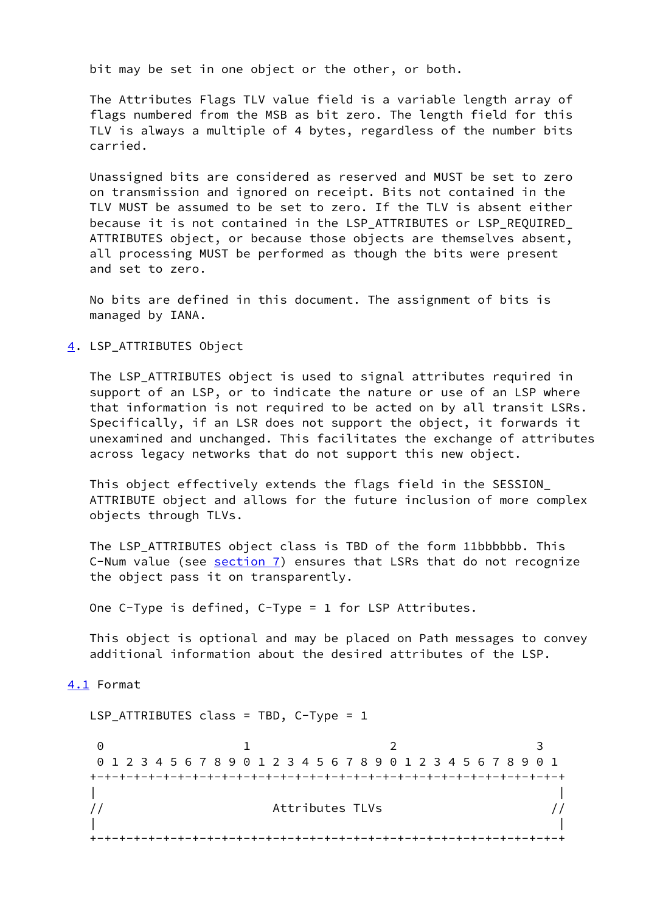bit may be set in one object or the other, or both.

 The Attributes Flags TLV value field is a variable length array of flags numbered from the MSB as bit zero. The length field for this TLV is always a multiple of 4 bytes, regardless of the number bits carried.

 Unassigned bits are considered as reserved and MUST be set to zero on transmission and ignored on receipt. Bits not contained in the TLV MUST be assumed to be set to zero. If the TLV is absent either because it is not contained in the LSP\_ATTRIBUTES or LSP\_REQUIRED\_ ATTRIBUTES object, or because those objects are themselves absent, all processing MUST be performed as though the bits were present and set to zero.

 No bits are defined in this document. The assignment of bits is managed by IANA.

<span id="page-5-0"></span>[4](#page-5-0). LSP ATTRIBUTES Object

 The LSP\_ATTRIBUTES object is used to signal attributes required in support of an LSP, or to indicate the nature or use of an LSP where that information is not required to be acted on by all transit LSRs. Specifically, if an LSR does not support the object, it forwards it unexamined and unchanged. This facilitates the exchange of attributes across legacy networks that do not support this new object.

 This object effectively extends the flags field in the SESSION\_ ATTRIBUTE object and allows for the future inclusion of more complex objects through TLVs.

 The LSP\_ATTRIBUTES object class is TBD of the form 11bbbbbb. This C-Num value (see [section 7](#page-10-0)) ensures that LSRs that do not recognize the object pass it on transparently.

One C-Type is defined, C-Type = 1 for LSP Attributes.

 This object is optional and may be placed on Path messages to convey additional information about the desired attributes of the LSP.

<span id="page-5-1"></span>[4.1](#page-5-1) Format

 LSP\_ATTRIBUTES class = TBD, C-Type = 1 0 1 2 3 0 1 2 3 4 5 6 7 8 9 0 1 2 3 4 5 6 7 8 9 0 1 2 3 4 5 6 7 8 9 0 1 +-+-+-+-+-+-+-+-+-+-+-+-+-+-+-+-+-+-+-+-+-+-+-+-+-+-+-+-+-+-+-+-+ | | // Attributes TLVs // | | +-+-+-+-+-+-+-+-+-+-+-+-+-+-+-+-+-+-+-+-+-+-+-+-+-+-+-+-+-+-+-+-+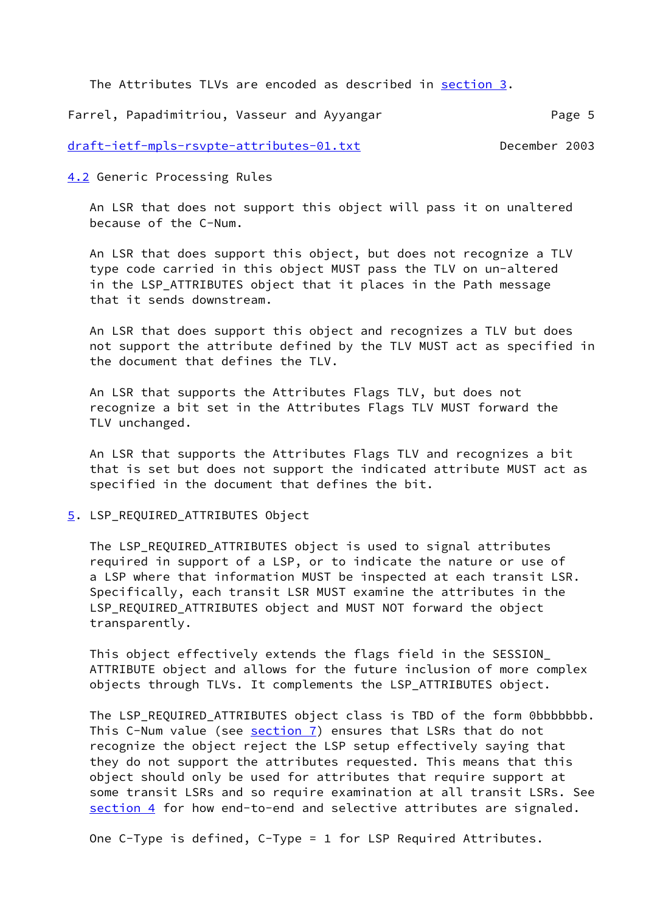The Attributes TLVs are encoded as described in [section 3](#page-3-3).

Farrel, Papadimitriou, Vasseur and Ayyangar Theorem 2016 Page 5

## [draft-ietf-mpls-rsvpte-attributes-01.txt](https://datatracker.ietf.org/doc/pdf/draft-ietf-mpls-rsvpte-attributes-01.txt) December 2003

<span id="page-6-0"></span>[4.2](#page-6-0) Generic Processing Rules

 An LSR that does not support this object will pass it on unaltered because of the C-Num.

 An LSR that does support this object, but does not recognize a TLV type code carried in this object MUST pass the TLV on un-altered in the LSP\_ATTRIBUTES object that it places in the Path message that it sends downstream.

 An LSR that does support this object and recognizes a TLV but does not support the attribute defined by the TLV MUST act as specified in the document that defines the TLV.

 An LSR that supports the Attributes Flags TLV, but does not recognize a bit set in the Attributes Flags TLV MUST forward the TLV unchanged.

 An LSR that supports the Attributes Flags TLV and recognizes a bit that is set but does not support the indicated attribute MUST act as specified in the document that defines the bit.

### <span id="page-6-1"></span>[5](#page-6-1). LSP\_REQUIRED\_ATTRIBUTES Object

The LSP REQUIRED ATTRIBUTES object is used to signal attributes required in support of a LSP, or to indicate the nature or use of a LSP where that information MUST be inspected at each transit LSR. Specifically, each transit LSR MUST examine the attributes in the LSP\_REQUIRED\_ATTRIBUTES object and MUST NOT forward the object transparently.

 This object effectively extends the flags field in the SESSION\_ ATTRIBUTE object and allows for the future inclusion of more complex objects through TLVs. It complements the LSP\_ATTRIBUTES object.

 The LSP\_REQUIRED\_ATTRIBUTES object class is TBD of the form 0bbbbbbb. This C-Num value (see [section 7\)](#page-10-0) ensures that LSRs that do not recognize the object reject the LSP setup effectively saying that they do not support the attributes requested. This means that this object should only be used for attributes that require support at some transit LSRs and so require examination at all transit LSRs. See [section 4](#page-5-0) for how end-to-end and selective attributes are signaled.

One C-Type is defined, C-Type = 1 for LSP Required Attributes.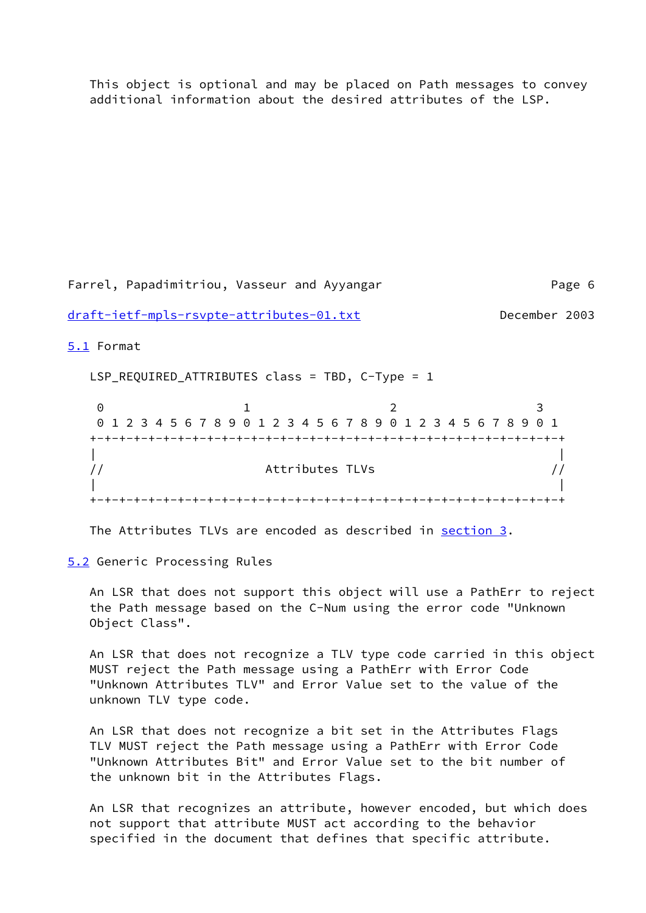This object is optional and may be placed on Path messages to convey additional information about the desired attributes of the LSP.

Farrel, Papadimitriou, Vasseur and Ayyangar Page 6

[draft-ietf-mpls-rsvpte-attributes-01.txt](https://datatracker.ietf.org/doc/pdf/draft-ietf-mpls-rsvpte-attributes-01.txt) December 2003

<span id="page-7-0"></span>[5.1](#page-7-0) Format

LSP\_REQUIRED\_ATTRIBUTES class = TBD, C-Type = 1

0 1 2 3 0 1 2 3 4 5 6 7 8 9 0 1 2 3 4 5 6 7 8 9 0 1 2 3 4 5 6 7 8 9 0 1 +-+-+-+-+-+-+-+-+-+-+-+-+-+-+-+-+-+-+-+-+-+-+-+-+-+-+-+-+-+-+-+-+ | | // Attributes TLVs // | | +-+-+-+-+-+-+-+-+-+-+-+-+-+-+-+-+-+-+-+-+-+-+-+-+-+-+-+-+-+-+-+-+

The Attributes TLVs are encoded as described in [section 3](#page-3-3).

<span id="page-7-1"></span>[5.2](#page-7-1) Generic Processing Rules

 An LSR that does not support this object will use a PathErr to reject the Path message based on the C-Num using the error code "Unknown Object Class".

 An LSR that does not recognize a TLV type code carried in this object MUST reject the Path message using a PathErr with Error Code "Unknown Attributes TLV" and Error Value set to the value of the unknown TLV type code.

 An LSR that does not recognize a bit set in the Attributes Flags TLV MUST reject the Path message using a PathErr with Error Code "Unknown Attributes Bit" and Error Value set to the bit number of the unknown bit in the Attributes Flags.

 An LSR that recognizes an attribute, however encoded, but which does not support that attribute MUST act according to the behavior specified in the document that defines that specific attribute.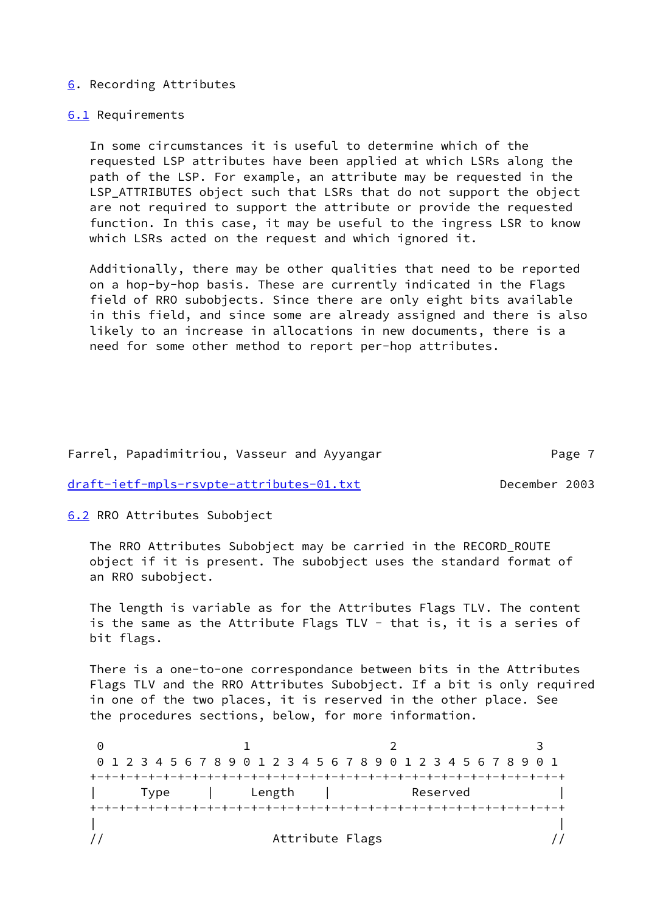### <span id="page-8-0"></span>[6](#page-8-0). Recording Attributes

### <span id="page-8-1"></span>[6.1](#page-8-1) Requirements

 In some circumstances it is useful to determine which of the requested LSP attributes have been applied at which LSRs along the path of the LSP. For example, an attribute may be requested in the LSP\_ATTRIBUTES object such that LSRs that do not support the object are not required to support the attribute or provide the requested function. In this case, it may be useful to the ingress LSR to know which LSRs acted on the request and which ignored it.

 Additionally, there may be other qualities that need to be reported on a hop-by-hop basis. These are currently indicated in the Flags field of RRO subobjects. Since there are only eight bits available in this field, and since some are already assigned and there is also likely to an increase in allocations in new documents, there is a need for some other method to report per-hop attributes.

### Farrel, Papadimitriou, Vasseur and Ayyangar Theorem 2016 Page 7

[draft-ietf-mpls-rsvpte-attributes-01.txt](https://datatracker.ietf.org/doc/pdf/draft-ietf-mpls-rsvpte-attributes-01.txt) December 2003

<span id="page-8-2"></span>[6.2](#page-8-2) RRO Attributes Subobject

 The RRO Attributes Subobject may be carried in the RECORD\_ROUTE object if it is present. The subobject uses the standard format of an RRO subobject.

 The length is variable as for the Attributes Flags TLV. The content is the same as the Attribute Flags TLV - that is, it is a series of bit flags.

 There is a one-to-one correspondance between bits in the Attributes Flags TLV and the RRO Attributes Subobject. If a bit is only required in one of the two places, it is reserved in the other place. See the procedures sections, below, for more information.

0 1 2 3 0 1 2 3 4 5 6 7 8 9 0 1 2 3 4 5 6 7 8 9 0 1 2 3 4 5 6 7 8 9 0 1 +-+-+-+-+-+-+-+-+-+-+-+-+-+-+-+-+-+-+-+-+-+-+-+-+-+-+-+-+-+-+-+-+ | Type | Length | Reserved | +-+-+-+-+-+-+-+-+-+-+-+-+-+-+-+-+-+-+-+-+-+-+-+-+-+-+-+-+-+-+-+-+ | | // Attribute Flags //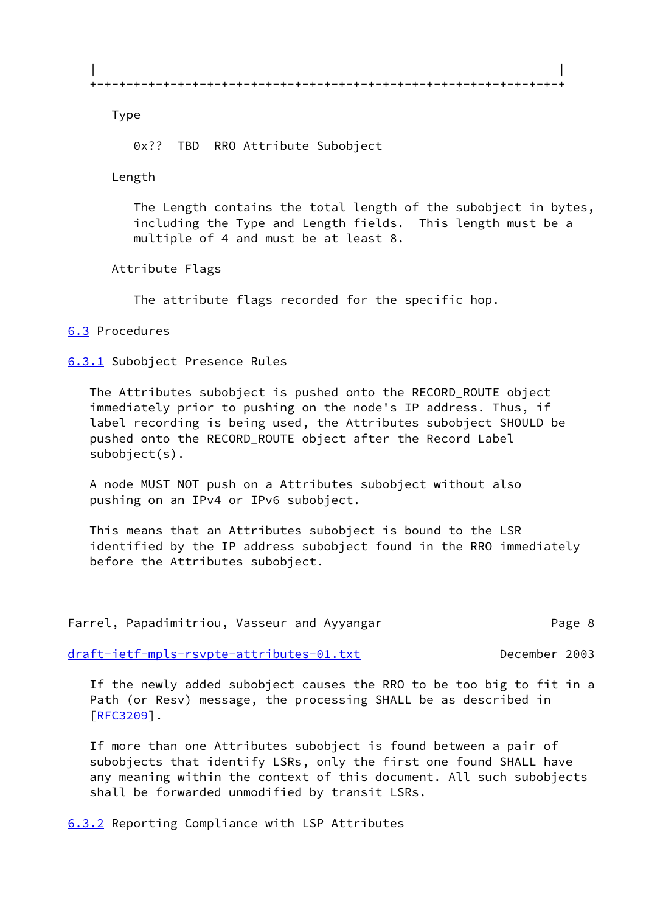Type

0x?? TBD RRO Attribute Subobject

Length

 The Length contains the total length of the subobject in bytes, including the Type and Length fields. This length must be a multiple of 4 and must be at least 8.

Attribute Flags

The attribute flags recorded for the specific hop.

## <span id="page-9-0"></span>[6.3](#page-9-0) Procedures

<span id="page-9-1"></span>[6.3.1](#page-9-1) Subobject Presence Rules

 The Attributes subobject is pushed onto the RECORD\_ROUTE object immediately prior to pushing on the node's IP address. Thus, if label recording is being used, the Attributes subobject SHOULD be pushed onto the RECORD\_ROUTE object after the Record Label subobject(s).

 A node MUST NOT push on a Attributes subobject without also pushing on an IPv4 or IPv6 subobject.

 This means that an Attributes subobject is bound to the LSR identified by the IP address subobject found in the RRO immediately before the Attributes subobject.

|  | Farrel, Papadimitriou, Vasseur and Ayyangar |  |  | Page 8 |
|--|---------------------------------------------|--|--|--------|
|--|---------------------------------------------|--|--|--------|

[draft-ietf-mpls-rsvpte-attributes-01.txt](https://datatracker.ietf.org/doc/pdf/draft-ietf-mpls-rsvpte-attributes-01.txt) December 2003

 If the newly added subobject causes the RRO to be too big to fit in a Path (or Resv) message, the processing SHALL be as described in [\[RFC3209](https://datatracker.ietf.org/doc/pdf/rfc3209)].

 If more than one Attributes subobject is found between a pair of subobjects that identify LSRs, only the first one found SHALL have any meaning within the context of this document. All such subobjects shall be forwarded unmodified by transit LSRs.

<span id="page-9-2"></span>[6.3.2](#page-9-2) Reporting Compliance with LSP Attributes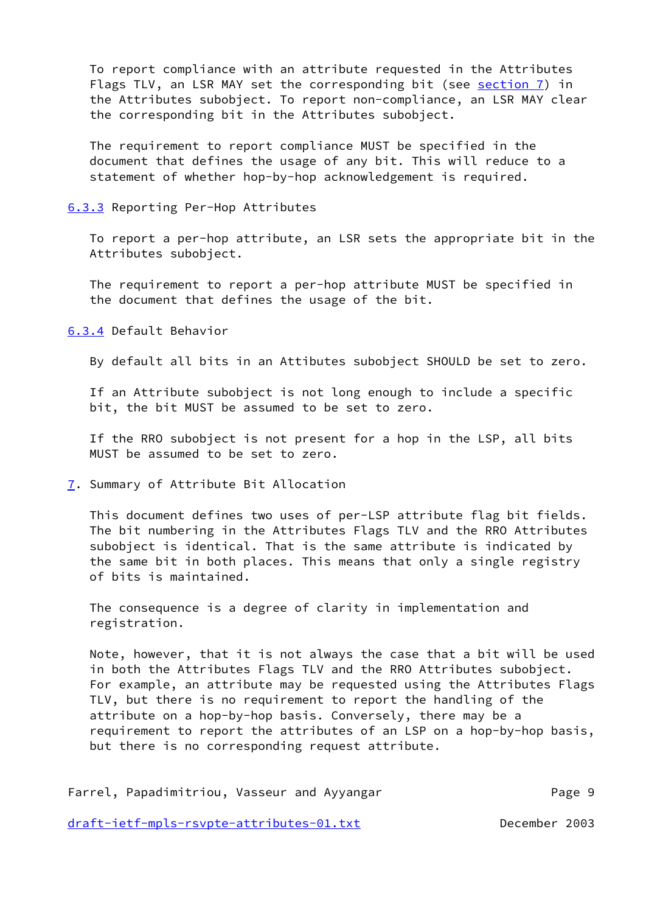To report compliance with an attribute requested in the Attributes Flags TLV, an LSR MAY set the corresponding bit (see [section 7](#page-10-0)) in the Attributes subobject. To report non-compliance, an LSR MAY clear the corresponding bit in the Attributes subobject.

 The requirement to report compliance MUST be specified in the document that defines the usage of any bit. This will reduce to a statement of whether hop-by-hop acknowledgement is required.

### <span id="page-10-1"></span>[6.3.3](#page-10-1) Reporting Per-Hop Attributes

 To report a per-hop attribute, an LSR sets the appropriate bit in the Attributes subobject.

 The requirement to report a per-hop attribute MUST be specified in the document that defines the usage of the bit.

<span id="page-10-2"></span>[6.3.4](#page-10-2) Default Behavior

By default all bits in an Attibutes subobject SHOULD be set to zero.

 If an Attribute subobject is not long enough to include a specific bit, the bit MUST be assumed to be set to zero.

 If the RRO subobject is not present for a hop in the LSP, all bits MUST be assumed to be set to zero.

<span id="page-10-0"></span>[7](#page-10-0). Summary of Attribute Bit Allocation

 This document defines two uses of per-LSP attribute flag bit fields. The bit numbering in the Attributes Flags TLV and the RRO Attributes subobject is identical. That is the same attribute is indicated by the same bit in both places. This means that only a single registry of bits is maintained.

 The consequence is a degree of clarity in implementation and registration.

 Note, however, that it is not always the case that a bit will be used in both the Attributes Flags TLV and the RRO Attributes subobject. For example, an attribute may be requested using the Attributes Flags TLV, but there is no requirement to report the handling of the attribute on a hop-by-hop basis. Conversely, there may be a requirement to report the attributes of an LSP on a hop-by-hop basis, but there is no corresponding request attribute.

| Farrel, Papadimitriou, Vasseur and Ayyangar |  | Page 9 |  |
|---------------------------------------------|--|--------|--|
|                                             |  |        |  |

[draft-ietf-mpls-rsvpte-attributes-01.txt](https://datatracker.ietf.org/doc/pdf/draft-ietf-mpls-rsvpte-attributes-01.txt) December 2003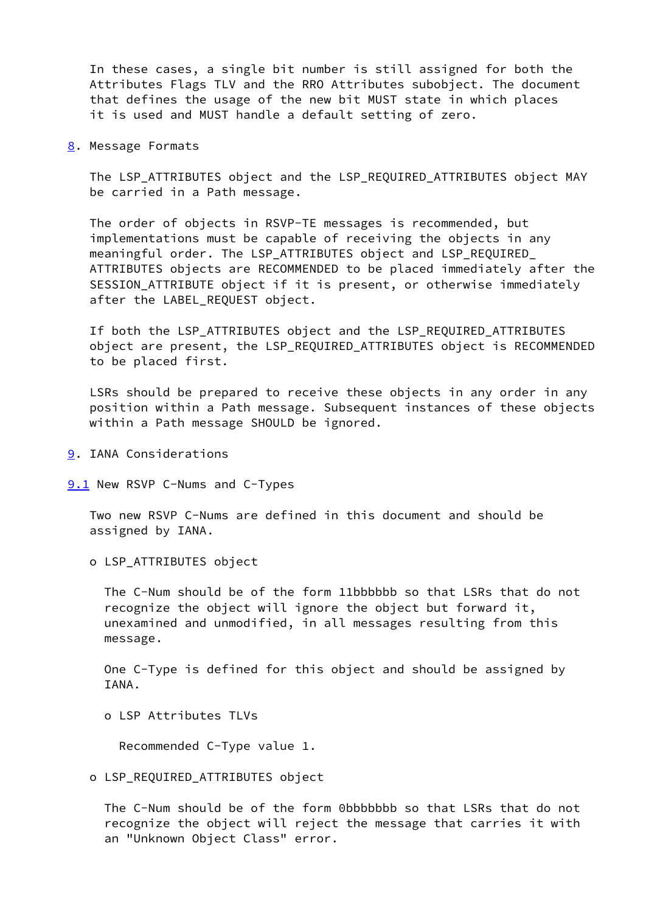In these cases, a single bit number is still assigned for both the Attributes Flags TLV and the RRO Attributes subobject. The document that defines the usage of the new bit MUST state in which places it is used and MUST handle a default setting of zero.

<span id="page-11-0"></span>[8](#page-11-0). Message Formats

 The LSP\_ATTRIBUTES object and the LSP\_REQUIRED\_ATTRIBUTES object MAY be carried in a Path message.

 The order of objects in RSVP-TE messages is recommended, but implementations must be capable of receiving the objects in any meaningful order. The LSP\_ATTRIBUTES object and LSP\_REQUIRED\_ ATTRIBUTES objects are RECOMMENDED to be placed immediately after the SESSION\_ATTRIBUTE object if it is present, or otherwise immediately after the LABEL REQUEST object.

 If both the LSP\_ATTRIBUTES object and the LSP\_REQUIRED\_ATTRIBUTES object are present, the LSP\_REQUIRED\_ATTRIBUTES object is RECOMMENDED to be placed first.

 LSRs should be prepared to receive these objects in any order in any position within a Path message. Subsequent instances of these objects within a Path message SHOULD be ignored.

- <span id="page-11-1"></span>[9](#page-11-1). IANA Considerations
- <span id="page-11-2"></span>[9.1](#page-11-2) New RSVP C-Nums and C-Types

 Two new RSVP C-Nums are defined in this document and should be assigned by IANA.

o LSP\_ATTRIBUTES object

 The C-Num should be of the form 11bbbbbb so that LSRs that do not recognize the object will ignore the object but forward it, unexamined and unmodified, in all messages resulting from this message.

 One C-Type is defined for this object and should be assigned by IANA.

o LSP Attributes TLVs

Recommended C-Type value 1.

o LSP\_REQUIRED\_ATTRIBUTES object

 The C-Num should be of the form 0bbbbbbb so that LSRs that do not recognize the object will reject the message that carries it with an "Unknown Object Class" error.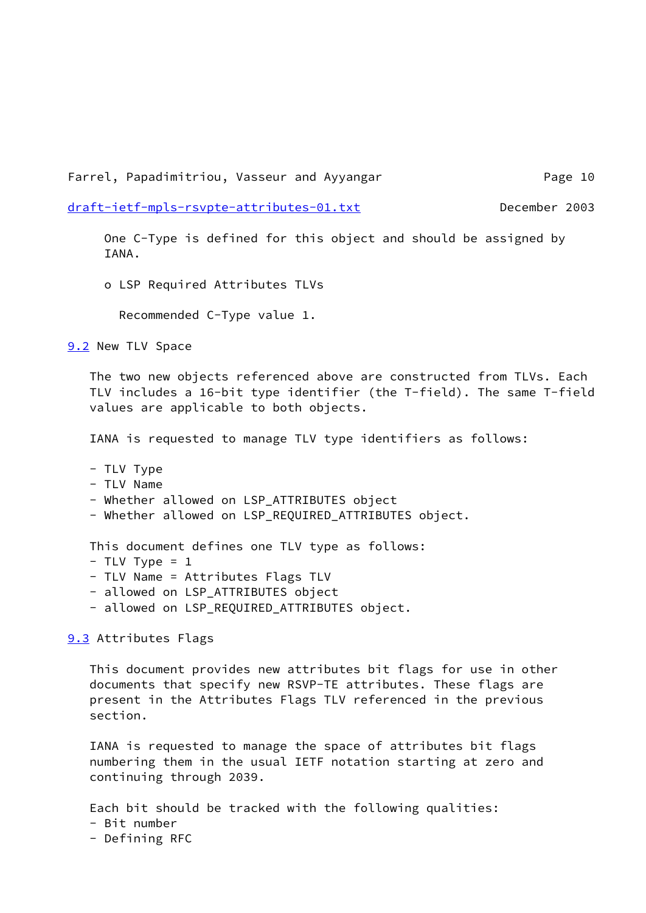Farrel, Papadimitriou, Vasseur and Ayyangar Theorem Page 10

[draft-ietf-mpls-rsvpte-attributes-01.txt](https://datatracker.ietf.org/doc/pdf/draft-ietf-mpls-rsvpte-attributes-01.txt) December 2003

 One C-Type is defined for this object and should be assigned by IANA.

o LSP Required Attributes TLVs

Recommended C-Type value 1.

<span id="page-12-0"></span>[9.2](#page-12-0) New TLV Space

 The two new objects referenced above are constructed from TLVs. Each TLV includes a 16-bit type identifier (the T-field). The same T-field values are applicable to both objects.

IANA is requested to manage TLV type identifiers as follows:

- TLV Type

- TLV Name

- Whether allowed on LSP\_ATTRIBUTES object

- Whether allowed on LSP\_REQUIRED\_ATTRIBUTES object.

This document defines one TLV type as follows:

- $-$  TLV Type = 1
- TLV Name = Attributes Flags TLV
- allowed on LSP ATTRIBUTES object
- allowed on LSP\_REQUIRED\_ATTRIBUTES object.

<span id="page-12-1"></span>[9.3](#page-12-1) Attributes Flags

 This document provides new attributes bit flags for use in other documents that specify new RSVP-TE attributes. These flags are present in the Attributes Flags TLV referenced in the previous section.

 IANA is requested to manage the space of attributes bit flags numbering them in the usual IETF notation starting at zero and continuing through 2039.

Each bit should be tracked with the following qualities:

- Bit number
- Defining RFC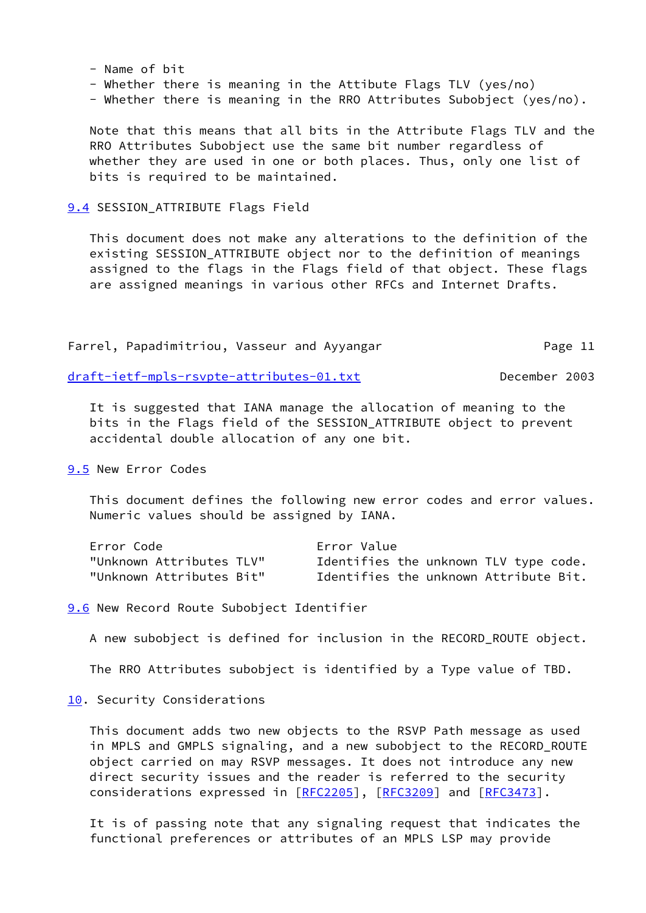- Name of bit
- Whether there is meaning in the Attibute Flags TLV (yes/no)
- Whether there is meaning in the RRO Attributes Subobject (yes/no).

 Note that this means that all bits in the Attribute Flags TLV and the RRO Attributes Subobject use the same bit number regardless of whether they are used in one or both places. Thus, only one list of bits is required to be maintained.

### <span id="page-13-0"></span>[9.4](#page-13-0) SESSION\_ATTRIBUTE Flags Field

 This document does not make any alterations to the definition of the existing SESSION\_ATTRIBUTE object nor to the definition of meanings assigned to the flags in the Flags field of that object. These flags are assigned meanings in various other RFCs and Internet Drafts.

Farrel, Papadimitriou, Vasseur and Ayyangar Theorem Page 11

[draft-ietf-mpls-rsvpte-attributes-01.txt](https://datatracker.ietf.org/doc/pdf/draft-ietf-mpls-rsvpte-attributes-01.txt) December 2003

 It is suggested that IANA manage the allocation of meaning to the bits in the Flags field of the SESSION\_ATTRIBUTE object to prevent accidental double allocation of any one bit.

<span id="page-13-1"></span>[9.5](#page-13-1) New Error Codes

 This document defines the following new error codes and error values. Numeric values should be assigned by IANA.

| Error Code               | Error Value                           |  |  |  |
|--------------------------|---------------------------------------|--|--|--|
| "Unknown Attributes TLV" | Identifies the unknown TLV type code. |  |  |  |
| "Unknown Attributes Bit" | Identifies the unknown Attribute Bit. |  |  |  |

<span id="page-13-2"></span>**[9.6](#page-13-2)** New Record Route Subobject Identifier

A new subobject is defined for inclusion in the RECORD\_ROUTE object.

The RRO Attributes subobject is identified by a Type value of TBD.

<span id="page-13-3"></span>[10.](#page-13-3) Security Considerations

 This document adds two new objects to the RSVP Path message as used in MPLS and GMPLS signaling, and a new subobject to the RECORD\_ROUTE object carried on may RSVP messages. It does not introduce any new direct security issues and the reader is referred to the security considerations expressed in [\[RFC2205](https://datatracker.ietf.org/doc/pdf/rfc2205)], [\[RFC3209](https://datatracker.ietf.org/doc/pdf/rfc3209)] and [\[RFC3473](https://datatracker.ietf.org/doc/pdf/rfc3473)].

 It is of passing note that any signaling request that indicates the functional preferences or attributes of an MPLS LSP may provide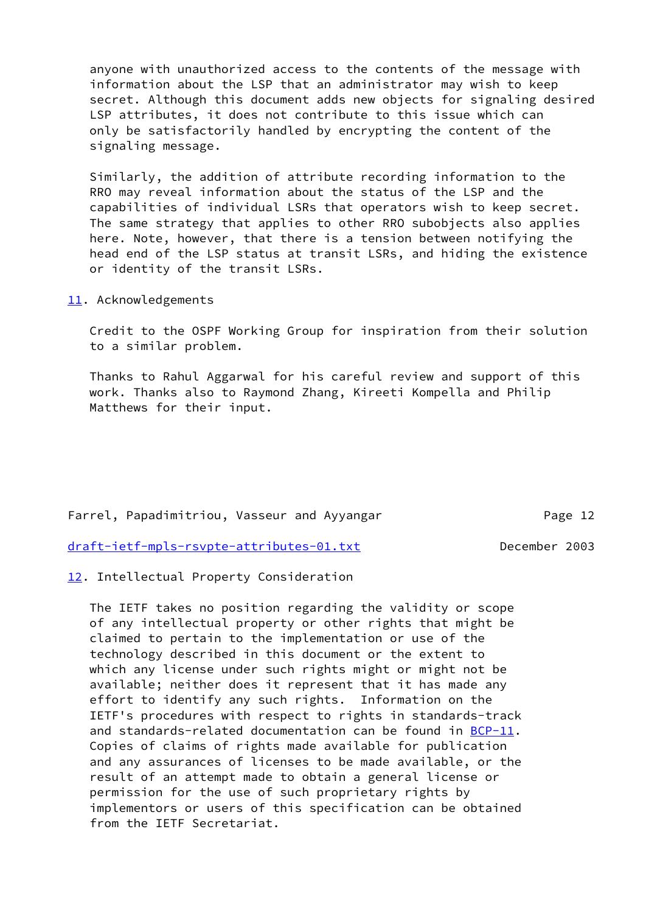anyone with unauthorized access to the contents of the message with information about the LSP that an administrator may wish to keep secret. Although this document adds new objects for signaling desired LSP attributes, it does not contribute to this issue which can only be satisfactorily handled by encrypting the content of the signaling message.

 Similarly, the addition of attribute recording information to the RRO may reveal information about the status of the LSP and the capabilities of individual LSRs that operators wish to keep secret. The same strategy that applies to other RRO subobjects also applies here. Note, however, that there is a tension between notifying the head end of the LSP status at transit LSRs, and hiding the existence or identity of the transit LSRs.

<span id="page-14-0"></span>[11.](#page-14-0) Acknowledgements

 Credit to the OSPF Working Group for inspiration from their solution to a similar problem.

 Thanks to Rahul Aggarwal for his careful review and support of this work. Thanks also to Raymond Zhang, Kireeti Kompella and Philip Matthews for their input.

Farrel, Papadimitriou, Vasseur and Ayyangar Theorem Page 12

[draft-ietf-mpls-rsvpte-attributes-01.txt](https://datatracker.ietf.org/doc/pdf/draft-ietf-mpls-rsvpte-attributes-01.txt) December 2003

<span id="page-14-1"></span>[12.](#page-14-1) Intellectual Property Consideration

 The IETF takes no position regarding the validity or scope of any intellectual property or other rights that might be claimed to pertain to the implementation or use of the technology described in this document or the extent to which any license under such rights might or might not be available; neither does it represent that it has made any effort to identify any such rights. Information on the IETF's procedures with respect to rights in standards-track and standards-related documentation can be found in  $BCP-11$ . Copies of claims of rights made available for publication and any assurances of licenses to be made available, or the result of an attempt made to obtain a general license or permission for the use of such proprietary rights by implementors or users of this specification can be obtained from the IETF Secretariat.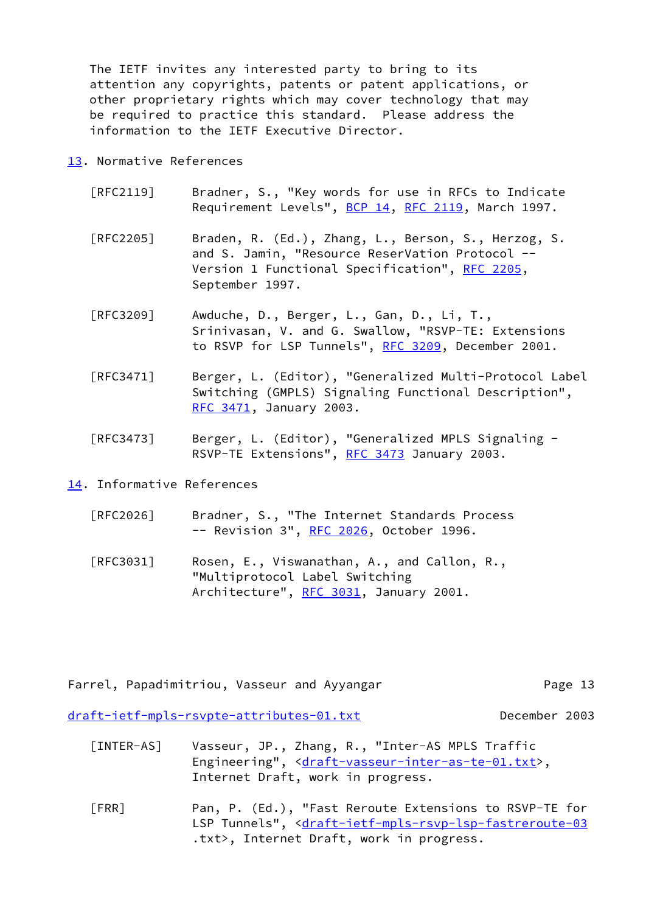The IETF invites any interested party to bring to its attention any copyrights, patents or patent applications, or other proprietary rights which may cover technology that may be required to practice this standard. Please address the information to the IETF Executive Director.

### <span id="page-15-1"></span>[13.](#page-15-1) Normative References

- [RFC2119] Bradner, S., "Key words for use in RFCs to Indicate Requirement Levels", [BCP 14](https://datatracker.ietf.org/doc/pdf/bcp14), [RFC 2119,](https://datatracker.ietf.org/doc/pdf/rfc2119) March 1997.
- [RFC2205] Braden, R. (Ed.), Zhang, L., Berson, S., Herzog, S. and S. Jamin, "Resource ReserVation Protocol -- Version 1 Functional Specification", [RFC 2205,](https://datatracker.ietf.org/doc/pdf/rfc2205) September 1997.
- [RFC3209] Awduche, D., Berger, L., Gan, D., Li, T., Srinivasan, V. and G. Swallow, "RSVP-TE: Extensions to RSVP for LSP Tunnels", [RFC 3209](https://datatracker.ietf.org/doc/pdf/rfc3209), December 2001.
- [RFC3471] Berger, L. (Editor), "Generalized Multi-Protocol Label Switching (GMPLS) Signaling Functional Description", [RFC 3471](https://datatracker.ietf.org/doc/pdf/rfc3471), January 2003.
- [RFC3473] Berger, L. (Editor), "Generalized MPLS Signaling RSVP-TE Extensions", [RFC 3473](https://datatracker.ietf.org/doc/pdf/rfc3473) January 2003.

<span id="page-15-2"></span>[14.](#page-15-2) Informative References

- [RFC2026] Bradner, S., "The Internet Standards Process -- Revision 3", [RFC 2026](https://datatracker.ietf.org/doc/pdf/rfc2026), October 1996.
- [RFC3031] Rosen, E., Viswanathan, A., and Callon, R., "Multiprotocol Label Switching Architecture", [RFC 3031](https://datatracker.ietf.org/doc/pdf/rfc3031), January 2001.

| Farrel, Papadimitriou, Vasseur and Ayyangar | Page 13       |
|---------------------------------------------|---------------|
| draft-ietf-mpls-rsvpte-attributes-01.txt    | December 2003 |

- [INTER-AS] Vasseur, JP., Zhang, R., "Inter-AS MPLS Traffic Engineering", [<draft-vasseur-inter-as-te-01.txt](https://datatracker.ietf.org/doc/pdf/draft-vasseur-inter-as-te-01.txt)>, Internet Draft, work in progress.
- <span id="page-15-0"></span>[FRR] Pan, P. (Ed.), "Fast Reroute Extensions to RSVP-TE for LSP Tunnels", [<draft-ietf-mpls-rsvp-lsp-fastreroute-03](https://datatracker.ietf.org/doc/pdf/draft-ietf-mpls-rsvp-lsp-fastreroute-03) .txt>, Internet Draft, work in progress.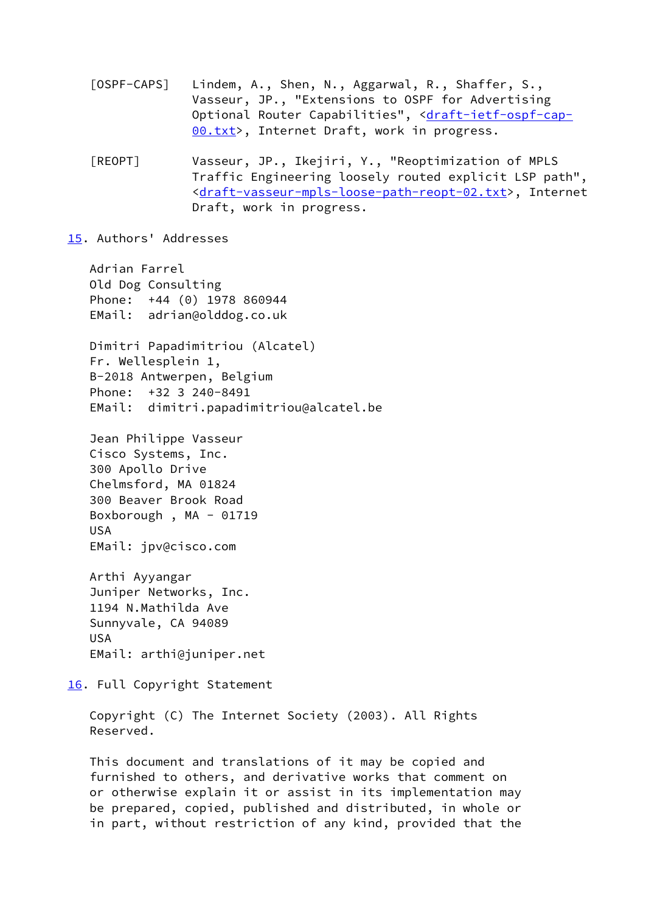- [OSPF-CAPS] Lindem, A., Shen, N., Aggarwal, R., Shaffer, S., Vasseur, JP., "Extensions to OSPF for Advertising Optional Router Capabilities", [<draft-ietf-ospf-cap-](https://datatracker.ietf.org/doc/pdf/draft-ietf-ospf-cap-00.txt) [00.txt](https://datatracker.ietf.org/doc/pdf/draft-ietf-ospf-cap-00.txt)>, Internet Draft, work in progress.
- [REOPT] Vasseur, JP., Ikejiri, Y., "Reoptimization of MPLS Traffic Engineering loosely routed explicit LSP path", <[draft-vasseur-mpls-loose-path-reopt-02.txt>](https://datatracker.ietf.org/doc/pdf/draft-vasseur-mpls-loose-path-reopt-02.txt), Internet Draft, work in progress.

#### <span id="page-16-0"></span>[15.](#page-16-0) Authors' Addresses

 Adrian Farrel Old Dog Consulting Phone: +44 (0) 1978 860944 EMail: adrian@olddog.co.uk Dimitri Papadimitriou (Alcatel) Fr. Wellesplein 1, B-2018 Antwerpen, Belgium Phone: +32 3 240-8491 EMail: dimitri.papadimitriou@alcatel.be

 Jean Philippe Vasseur Cisco Systems, Inc. 300 Apollo Drive Chelmsford, MA 01824 300 Beaver Brook Road Boxborough , MA - 01719 USA EMail: jpv@cisco.com

 Arthi Ayyangar Juniper Networks, Inc. 1194 N.Mathilda Ave Sunnyvale, CA 94089 USA EMail: arthi@juniper.net

<span id="page-16-1"></span>[16.](#page-16-1) Full Copyright Statement

 Copyright (C) The Internet Society (2003). All Rights Reserved.

 This document and translations of it may be copied and furnished to others, and derivative works that comment on or otherwise explain it or assist in its implementation may be prepared, copied, published and distributed, in whole or in part, without restriction of any kind, provided that the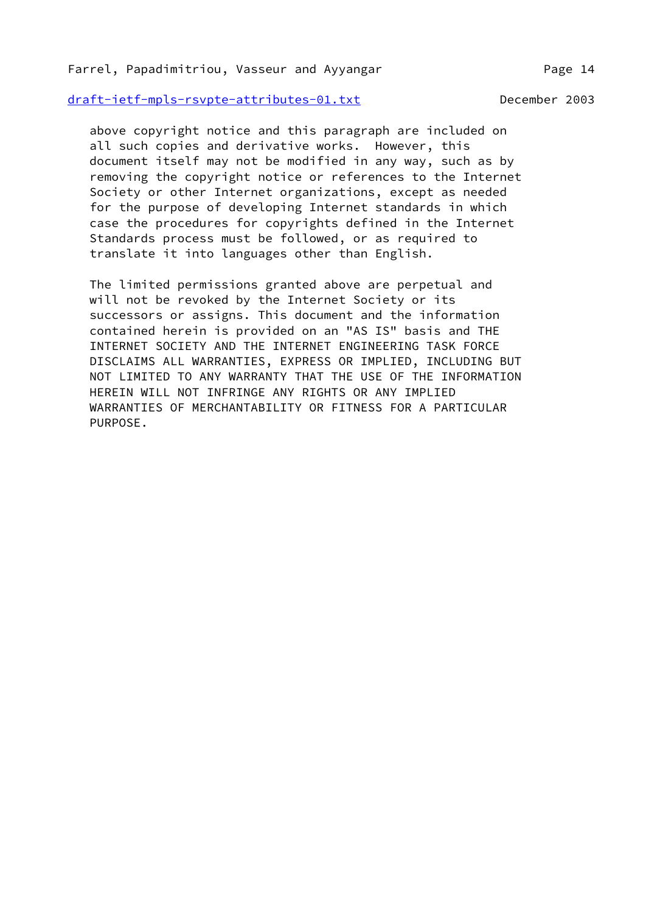### Farrel, Papadimitriou, Vasseur and Ayyangar Theorem Page 14

[draft-ietf-mpls-rsvpte-attributes-01.txt](https://datatracker.ietf.org/doc/pdf/draft-ietf-mpls-rsvpte-attributes-01.txt) December 2003

 above copyright notice and this paragraph are included on all such copies and derivative works. However, this document itself may not be modified in any way, such as by removing the copyright notice or references to the Internet Society or other Internet organizations, except as needed for the purpose of developing Internet standards in which case the procedures for copyrights defined in the Internet Standards process must be followed, or as required to translate it into languages other than English.

 The limited permissions granted above are perpetual and will not be revoked by the Internet Society or its successors or assigns. This document and the information contained herein is provided on an "AS IS" basis and THE INTERNET SOCIETY AND THE INTERNET ENGINEERING TASK FORCE DISCLAIMS ALL WARRANTIES, EXPRESS OR IMPLIED, INCLUDING BUT NOT LIMITED TO ANY WARRANTY THAT THE USE OF THE INFORMATION HEREIN WILL NOT INFRINGE ANY RIGHTS OR ANY IMPLIED WARRANTIES OF MERCHANTABILITY OR FITNESS FOR A PARTICULAR PURPOSE.